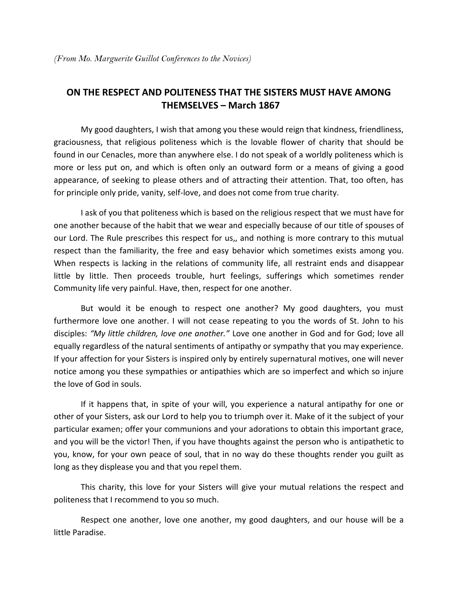## **ON THE RESPECT AND POLITENESS THAT THE SISTERS MUST HAVE AMONG THEMSELVES – March 1867**

 My good daughters, I wish that among you these would reign that kindness, friendliness, graciousness, that religious politeness which is the lovable flower of charity that should be found in our Cenacles, more than anywhere else. I do not speak of a worldly politeness which is more or less put on, and which is often only an outward form or a means of giving a good appearance, of seeking to please others and of attracting their attention. That, too often, has for principle only pride, vanity, self-love, and does not come from true charity.

 I ask of you that politeness which is based on the religious respect that we must have for one another because of the habit that we wear and especially because of our title of spouses of our Lord. The Rule prescribes this respect for us,, and nothing is more contrary to this mutual respect than the familiarity, the free and easy behavior which sometimes exists among you. When respects is lacking in the relations of community life, all restraint ends and disappear little by little. Then proceeds trouble, hurt feelings, sufferings which sometimes render Community life very painful. Have, then, respect for one another.

 But would it be enough to respect one another? My good daughters, you must furthermore love one another. I will not cease repeating to you the words of St. John to his disciples: *͞My little children, love one another.͟* Love one another in God and for God; love all equally regardless of the natural sentiments of antipathy or sympathy that you may experience. If your affection for your Sisters is inspired only by entirely supernatural motives, one will never notice among you these sympathies or antipathies which are so imperfect and which so injure the love of God in souls.

 If it happens that, in spite of your will, you experience a natural antipathy for one or other of your Sisters, ask our Lord to help you to triumph over it. Make of it the subject of your particular examen; offer your communions and your adorations to obtain this important grace, and you will be the victor! Then, if you have thoughts against the person who is antipathetic to you, know, for your own peace of soul, that in no way do these thoughts render you guilt as long as they displease you and that you repel them.

 This charity, this love for your Sisters will give your mutual relations the respect and politeness that I recommend to you so much.

 Respect one another, love one another, my good daughters, and our house will be a little Paradise.